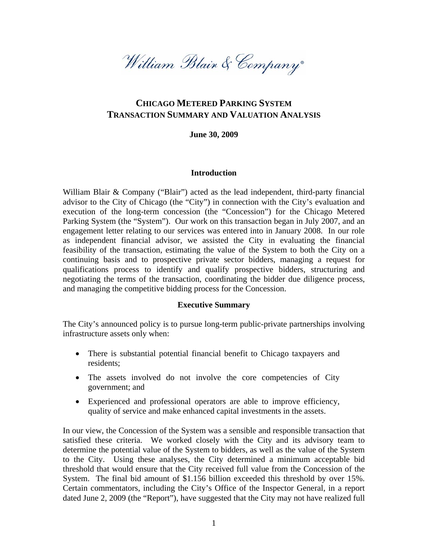William Blain & Company

# **CHICAGO METERED PARKING SYSTEM TRANSACTION SUMMARY AND VALUATION ANALYSIS**

#### **June 30, 2009**

#### **Introduction**

William Blair & Company ("Blair") acted as the lead independent, third-party financial advisor to the City of Chicago (the "City") in connection with the City's evaluation and execution of the long-term concession (the "Concession") for the Chicago Metered Parking System (the "System"). Our work on this transaction began in July 2007, and an engagement letter relating to our services was entered into in January 2008. In our role as independent financial advisor, we assisted the City in evaluating the financial feasibility of the transaction, estimating the value of the System to both the City on a continuing basis and to prospective private sector bidders, managing a request for qualifications process to identify and qualify prospective bidders, structuring and negotiating the terms of the transaction, coordinating the bidder due diligence process, and managing the competitive bidding process for the Concession.

#### **Executive Summary**

The City's announced policy is to pursue long-term public-private partnerships involving infrastructure assets only when:

- There is substantial potential financial benefit to Chicago taxpayers and residents;
- The assets involved do not involve the core competencies of City government; and
- Experienced and professional operators are able to improve efficiency, quality of service and make enhanced capital investments in the assets.

In our view, the Concession of the System was a sensible and responsible transaction that satisfied these criteria. We worked closely with the City and its advisory team to determine the potential value of the System to bidders, as well as the value of the System to the City. Using these analyses, the City determined a minimum acceptable bid threshold that would ensure that the City received full value from the Concession of the System. The final bid amount of \$1.156 billion exceeded this threshold by over 15%. Certain commentators, including the City's Office of the Inspector General, in a report dated June 2, 2009 (the "Report"), have suggested that the City may not have realized full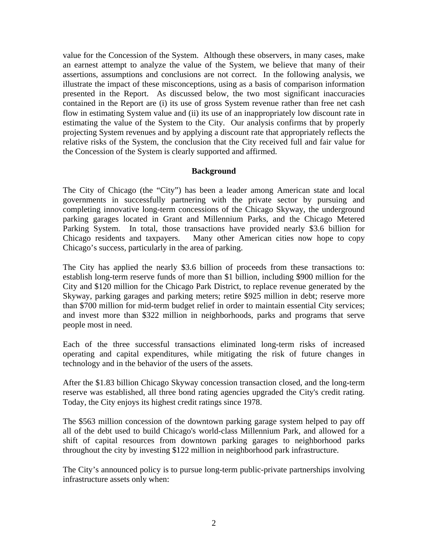value for the Concession of the System. Although these observers, in many cases, make an earnest attempt to analyze the value of the System, we believe that many of their assertions, assumptions and conclusions are not correct. In the following analysis, we illustrate the impact of these misconceptions, using as a basis of comparison information presented in the Report. As discussed below, the two most significant inaccuracies contained in the Report are (i) its use of gross System revenue rather than free net cash flow in estimating System value and (ii) its use of an inappropriately low discount rate in estimating the value of the System to the City. Our analysis confirms that by properly projecting System revenues and by applying a discount rate that appropriately reflects the relative risks of the System, the conclusion that the City received full and fair value for the Concession of the System is clearly supported and affirmed.

#### **Background**

The City of Chicago (the "City") has been a leader among American state and local governments in successfully partnering with the private sector by pursuing and completing innovative long-term concessions of the Chicago Skyway, the underground parking garages located in Grant and Millennium Parks, and the Chicago Metered Parking System. In total, those transactions have provided nearly \$3.6 billion for Chicago residents and taxpayers. Many other American cities now hope to copy Chicago's success, particularly in the area of parking.

The City has applied the nearly \$3.6 billion of proceeds from these transactions to: establish long-term reserve funds of more than \$1 billion, including \$900 million for the City and \$120 million for the Chicago Park District, to replace revenue generated by the Skyway, parking garages and parking meters; retire \$925 million in debt; reserve more than \$700 million for mid-term budget relief in order to maintain essential City services; and invest more than \$322 million in neighborhoods, parks and programs that serve people most in need.

Each of the three successful transactions eliminated long-term risks of increased operating and capital expenditures, while mitigating the risk of future changes in technology and in the behavior of the users of the assets.

After the \$1.83 billion Chicago Skyway concession transaction closed, and the long-term reserve was established, all three bond rating agencies upgraded the City's credit rating. Today, the City enjoys its highest credit ratings since 1978.

The \$563 million concession of the downtown parking garage system helped to pay off all of the debt used to build Chicago's world-class Millennium Park, and allowed for a shift of capital resources from downtown parking garages to neighborhood parks throughout the city by investing \$122 million in neighborhood park infrastructure.

The City's announced policy is to pursue long-term public-private partnerships involving infrastructure assets only when: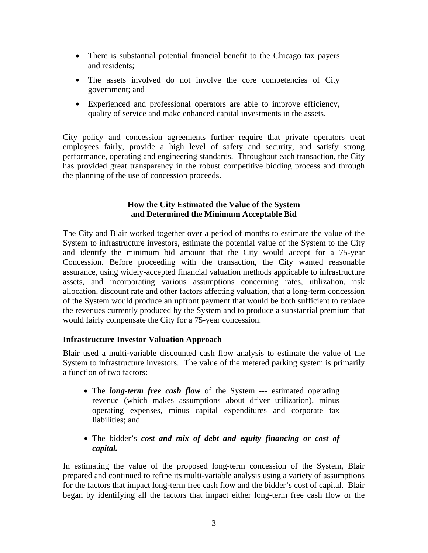- There is substantial potential financial benefit to the Chicago tax payers and residents;
- The assets involved do not involve the core competencies of City government; and
- Experienced and professional operators are able to improve efficiency, quality of service and make enhanced capital investments in the assets.

City policy and concession agreements further require that private operators treat employees fairly, provide a high level of safety and security, and satisfy strong performance, operating and engineering standards. Throughout each transaction, the City has provided great transparency in the robust competitive bidding process and through the planning of the use of concession proceeds.

### **How the City Estimated the Value of the System and Determined the Minimum Acceptable Bid**

The City and Blair worked together over a period of months to estimate the value of the System to infrastructure investors, estimate the potential value of the System to the City and identify the minimum bid amount that the City would accept for a 75-year Concession. Before proceeding with the transaction, the City wanted reasonable assurance, using widely-accepted financial valuation methods applicable to infrastructure assets, and incorporating various assumptions concerning rates, utilization, risk allocation, discount rate and other factors affecting valuation, that a long-term concession of the System would produce an upfront payment that would be both sufficient to replace the revenues currently produced by the System and to produce a substantial premium that would fairly compensate the City for a 75-year concession.

# **Infrastructure Investor Valuation Approach**

Blair used a multi-variable discounted cash flow analysis to estimate the value of the System to infrastructure investors. The value of the metered parking system is primarily a function of two factors:

- The *long-term free cash flow* of the System --- estimated operating revenue (which makes assumptions about driver utilization), minus operating expenses, minus capital expenditures and corporate tax liabilities; and
- The bidder's *cost and mix of debt and equity financing or cost of capital.*

In estimating the value of the proposed long-term concession of the System, Blair prepared and continued to refine its multi-variable analysis using a variety of assumptions for the factors that impact long-term free cash flow and the bidder's cost of capital. Blair began by identifying all the factors that impact either long-term free cash flow or the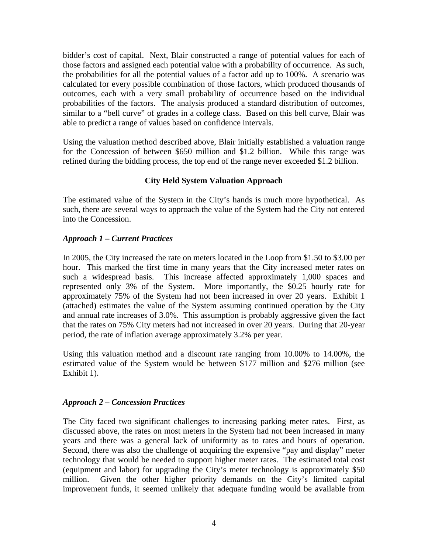bidder's cost of capital. Next, Blair constructed a range of potential values for each of those factors and assigned each potential value with a probability of occurrence. As such, the probabilities for all the potential values of a factor add up to 100%. A scenario was calculated for every possible combination of those factors, which produced thousands of outcomes, each with a very small probability of occurrence based on the individual probabilities of the factors. The analysis produced a standard distribution of outcomes, similar to a "bell curve" of grades in a college class. Based on this bell curve, Blair was able to predict a range of values based on confidence intervals.

Using the valuation method described above, Blair initially established a valuation range for the Concession of between \$650 million and \$1.2 billion. While this range was refined during the bidding process, the top end of the range never exceeded \$1.2 billion.

# **City Held System Valuation Approach**

The estimated value of the System in the City's hands is much more hypothetical. As such, there are several ways to approach the value of the System had the City not entered into the Concession.

# *Approach 1 – Current Practices*

In 2005, the City increased the rate on meters located in the Loop from \$1.50 to \$3.00 per hour. This marked the first time in many years that the City increased meter rates on such a widespread basis. This increase affected approximately 1,000 spaces and represented only 3% of the System. More importantly, the \$0.25 hourly rate for approximately 75% of the System had not been increased in over 20 years. Exhibit 1 (attached) estimates the value of the System assuming continued operation by the City and annual rate increases of 3.0%. This assumption is probably aggressive given the fact that the rates on 75% City meters had not increased in over 20 years. During that 20-year period, the rate of inflation average approximately 3.2% per year.

Using this valuation method and a discount rate ranging from 10.00% to 14.00%, the estimated value of the System would be between \$177 million and \$276 million (see Exhibit 1).

# *Approach 2 – Concession Practices*

The City faced two significant challenges to increasing parking meter rates. First, as discussed above, the rates on most meters in the System had not been increased in many years and there was a general lack of uniformity as to rates and hours of operation. Second, there was also the challenge of acquiring the expensive "pay and display" meter technology that would be needed to support higher meter rates. The estimated total cost (equipment and labor) for upgrading the City's meter technology is approximately \$50 million. Given the other higher priority demands on the City's limited capital improvement funds, it seemed unlikely that adequate funding would be available from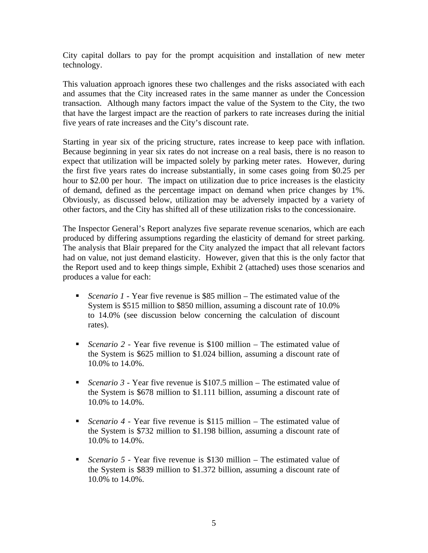City capital dollars to pay for the prompt acquisition and installation of new meter technology.

This valuation approach ignores these two challenges and the risks associated with each and assumes that the City increased rates in the same manner as under the Concession transaction. Although many factors impact the value of the System to the City, the two that have the largest impact are the reaction of parkers to rate increases during the initial five years of rate increases and the City's discount rate.

Starting in year six of the pricing structure, rates increase to keep pace with inflation. Because beginning in year six rates do not increase on a real basis, there is no reason to expect that utilization will be impacted solely by parking meter rates. However, during the first five years rates do increase substantially, in some cases going from \$0.25 per hour to \$2.00 per hour. The impact on utilization due to price increases is the elasticity of demand, defined as the percentage impact on demand when price changes by 1%. Obviously, as discussed below, utilization may be adversely impacted by a variety of other factors, and the City has shifted all of these utilization risks to the concessionaire.

The Inspector General's Report analyzes five separate revenue scenarios, which are each produced by differing assumptions regarding the elasticity of demand for street parking. The analysis that Blair prepared for the City analyzed the impact that all relevant factors had on value, not just demand elasticity. However, given that this is the only factor that the Report used and to keep things simple, Exhibit 2 (attached) uses those scenarios and produces a value for each:

- *Scenario 1* Year five revenue is \$85 million The estimated value of the System is \$515 million to \$850 million, assuming a discount rate of 10.0% to 14.0% (see discussion below concerning the calculation of discount rates).
- *Scenario 2* Year five revenue is \$100 million The estimated value of the System is \$625 million to \$1.024 billion, assuming a discount rate of 10.0% to 14.0%.
- *Scenario 3* Year five revenue is \$107.5 million The estimated value of the System is \$678 million to \$1.111 billion, assuming a discount rate of 10.0% to 14.0%.
- *Scenario 4* Year five revenue is \$115 million The estimated value of the System is \$732 million to \$1.198 billion, assuming a discount rate of 10.0% to 14.0%.
- *Scenario 5* Year five revenue is \$130 million The estimated value of the System is \$839 million to \$1.372 billion, assuming a discount rate of 10.0% to 14.0%.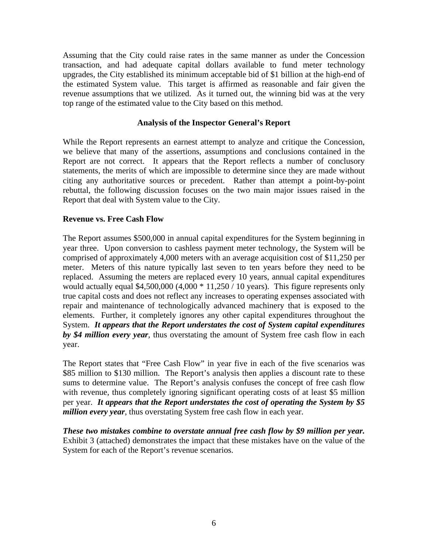Assuming that the City could raise rates in the same manner as under the Concession transaction, and had adequate capital dollars available to fund meter technology upgrades, the City established its minimum acceptable bid of \$1 billion at the high-end of the estimated System value. This target is affirmed as reasonable and fair given the revenue assumptions that we utilized. As it turned out, the winning bid was at the very top range of the estimated value to the City based on this method.

### **Analysis of the Inspector General's Report**

While the Report represents an earnest attempt to analyze and critique the Concession, we believe that many of the assertions, assumptions and conclusions contained in the Report are not correct. It appears that the Report reflects a number of conclusory statements, the merits of which are impossible to determine since they are made without citing any authoritative sources or precedent. Rather than attempt a point-by-point rebuttal, the following discussion focuses on the two main major issues raised in the Report that deal with System value to the City.

### **Revenue vs. Free Cash Flow**

The Report assumes \$500,000 in annual capital expenditures for the System beginning in year three. Upon conversion to cashless payment meter technology, the System will be comprised of approximately 4,000 meters with an average acquisition cost of \$11,250 per meter. Meters of this nature typically last seven to ten years before they need to be replaced. Assuming the meters are replaced every 10 years, annual capital expenditures would actually equal  $$4,500,000$  (4,000  $*$  11,250 / 10 years). This figure represents only true capital costs and does not reflect any increases to operating expenses associated with repair and maintenance of technologically advanced machinery that is exposed to the elements. Further, it completely ignores any other capital expenditures throughout the System. *It appears that the Report understates the cost of System capital expenditures by \$4 million every year*, thus overstating the amount of System free cash flow in each year.

The Report states that "Free Cash Flow" in year five in each of the five scenarios was \$85 million to \$130 million. The Report's analysis then applies a discount rate to these sums to determine value. The Report's analysis confuses the concept of free cash flow with revenue, thus completely ignoring significant operating costs of at least \$5 million per year. *It appears that the Report understates the cost of operating the System by \$5 million every year*, thus overstating System free cash flow in each year.

*These two mistakes combine to overstate annual free cash flow by \$9 million per year.* Exhibit 3 (attached) demonstrates the impact that these mistakes have on the value of the System for each of the Report's revenue scenarios.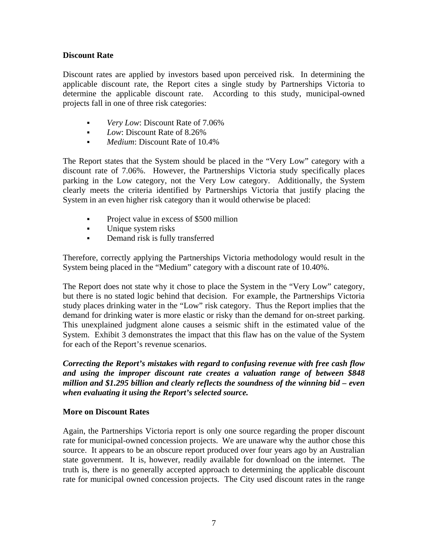### **Discount Rate**

Discount rates are applied by investors based upon perceived risk. In determining the applicable discount rate, the Report cites a single study by Partnerships Victoria to determine the applicable discount rate. According to this study, municipal-owned projects fall in one of three risk categories:

- *Very Low:* Discount Rate of 7.06%
- **Low: Discount Rate of 8.26%**
- **Medium: Discount Rate of 10.4%**

The Report states that the System should be placed in the "Very Low" category with a discount rate of 7.06%. However, the Partnerships Victoria study specifically places parking in the Low category, not the Very Low category. Additionally, the System clearly meets the criteria identified by Partnerships Victoria that justify placing the System in an even higher risk category than it would otherwise be placed:

- **•** Project value in excess of \$500 million
- Unique system risks
- **•** Demand risk is fully transferred

Therefore, correctly applying the Partnerships Victoria methodology would result in the System being placed in the "Medium" category with a discount rate of 10.40%.

The Report does not state why it chose to place the System in the "Very Low" category, but there is no stated logic behind that decision. For example, the Partnerships Victoria study places drinking water in the "Low" risk category. Thus the Report implies that the demand for drinking water is more elastic or risky than the demand for on-street parking. This unexplained judgment alone causes a seismic shift in the estimated value of the System. Exhibit 3 demonstrates the impact that this flaw has on the value of the System for each of the Report's revenue scenarios.

*Correcting the Report's mistakes with regard to confusing revenue with free cash flow and using the improper discount rate creates a valuation range of between \$848 million and \$1.295 billion and clearly reflects the soundness of the winning bid – even when evaluating it using the Report's selected source.* 

# **More on Discount Rates**

Again, the Partnerships Victoria report is only one source regarding the proper discount rate for municipal-owned concession projects. We are unaware why the author chose this source. It appears to be an obscure report produced over four years ago by an Australian state government. It is, however, readily available for download on the internet. The truth is, there is no generally accepted approach to determining the applicable discount rate for municipal owned concession projects. The City used discount rates in the range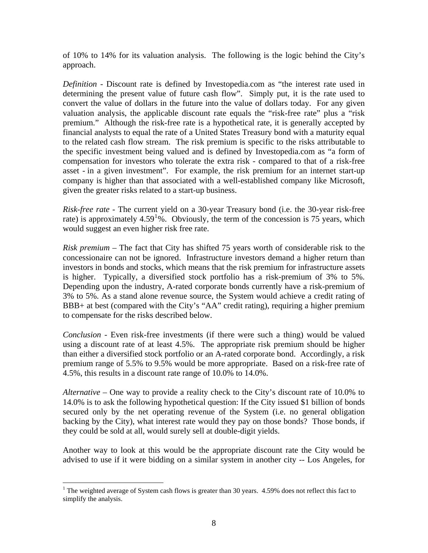of 10% to 14% for its valuation analysis. The following is the logic behind the City's approach.

*Definition -* Discount rate is defined by Investopedia.com as "the interest rate used in determining the present value of future cash flow". Simply put, it is the rate used to convert the value of dollars in the future into the value of dollars today. For any given valuation analysis, the applicable discount rate equals the "risk-free rate" plus a "risk premium." Although the risk-free rate is a hypothetical rate, it is generally accepted by financial analysts to equal the rate of a United States Treasury bond with a maturity equal to the related cash flow stream. The risk premium is specific to the risks attributable to the specific investment being valued and is defined by Investopedia.com as "a form of compensation for investors who tolerate the extra risk - compared to that of a risk-free asset - in a given investment". For example, the risk premium for an internet start-up company is higher than that associated with a well-established company like Microsoft, given the greater risks related to a start-up business.

*Risk-free rate* - The current yield on a 30-year Treasury bond (i.e. the 30-year risk-free rate) is approximately 4.59<sup>[1](#page-7-0)</sup>%. Obviously, the term of the concession is 75 years, which would suggest an even higher risk free rate.

*Risk premium –* The fact that City has shifted 75 years worth of considerable risk to the concessionaire can not be ignored. Infrastructure investors demand a higher return than investors in bonds and stocks, which means that the risk premium for infrastructure assets is higher. Typically, a diversified stock portfolio has a risk-premium of 3% to 5%. Depending upon the industry, A-rated corporate bonds currently have a risk-premium of 3% to 5%. As a stand alone revenue source, the System would achieve a credit rating of BBB+ at best (compared with the City's "AA" credit rating), requiring a higher premium to compensate for the risks described below.

*Conclusion -* Even risk-free investments (if there were such a thing) would be valued using a discount rate of at least 4.5%. The appropriate risk premium should be higher than either a diversified stock portfolio or an A-rated corporate bond. Accordingly, a risk premium range of 5.5% to 9.5% would be more appropriate. Based on a risk-free rate of 4.5%, this results in a discount rate range of 10.0% to 14.0%.

*Alternative* – One way to provide a reality check to the City's discount rate of 10.0% to 14.0% is to ask the following hypothetical question: If the City issued \$1 billion of bonds secured only by the net operating revenue of the System (i.e. no general obligation backing by the City), what interest rate would they pay on those bonds? Those bonds, if they could be sold at all, would surely sell at double-digit yields.

Another way to look at this would be the appropriate discount rate the City would be advised to use if it were bidding on a similar system in another city -- Los Angeles, for

 $\overline{a}$ 

<span id="page-7-0"></span><sup>&</sup>lt;sup>1</sup> The weighted average of System cash flows is greater than 30 years.  $4.59\%$  does not reflect this fact to simplify the analysis.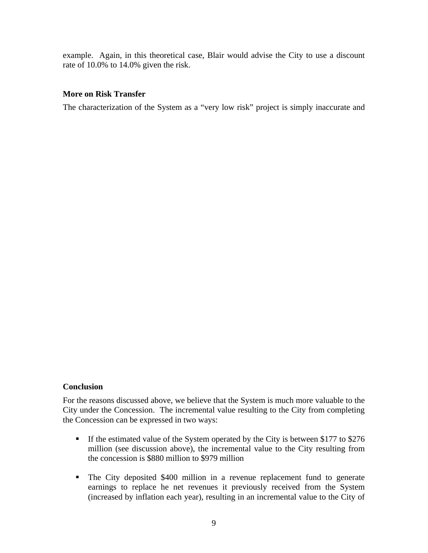example. Again, in this theoretical case, Blair would advise the City to use a discount rate of 10.0% to 14.0% given the risk.

### **More on Risk Transfer**

The characterization of the System as a "very low risk" project is simply inaccurate and

### **Conclusion**

For the reasons discussed above, we believe that the System is much more valuable to the City under the Concession. The incremental value resulting to the City from completing the Concession can be expressed in two ways:

- If the estimated value of the System operated by the City is between \$177 to \$276 million (see discussion above), the incremental value to the City resulting from the concession is \$880 million to \$979 million
- The City deposited \$400 million in a revenue replacement fund to generate earnings to replace he net revenues it previously received from the System (increased by inflation each year), resulting in an incremental value to the City of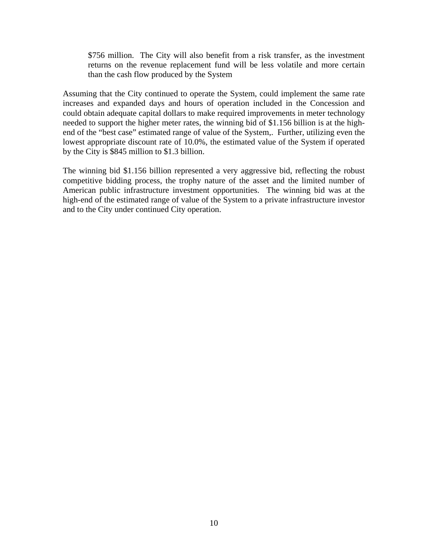\$756 million. The City will also benefit from a risk transfer, as the investment returns on the revenue replacement fund will be less volatile and more certain than the cash flow produced by the System

Assuming that the City continued to operate the System, could implement the same rate increases and expanded days and hours of operation included in the Concession and could obtain adequate capital dollars to make required improvements in meter technology needed to support the higher meter rates, the winning bid of \$1.156 billion is at the highend of the "best case" estimated range of value of the System,. Further, utilizing even the lowest appropriate discount rate of 10.0%, the estimated value of the System if operated by the City is \$845 million to \$1.3 billion.

The winning bid \$1.156 billion represented a very aggressive bid, reflecting the robust competitive bidding process, the trophy nature of the asset and the limited number of American public infrastructure investment opportunities. The winning bid was at the high-end of the estimated range of value of the System to a private infrastructure investor and to the City under continued City operation.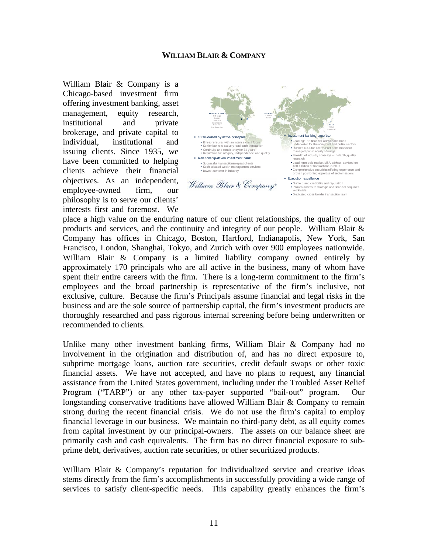#### **WILLIAM BLAIR & COMPANY**

William Blair & Company is a Chicago-based investment firm offering investment banking, asset management, equity research, institutional and private brokerage, and private capital to  $\frac{100\%$  owned by active principals have been committed to helping Breadtonship-diven investment bank<br>
Booking transaction frequence (sention management sention  $\text{clients}$  achieve their financial  $\text{SVD}$   $\text{SVD}$  be service in industry employee-owned firm, our philosophy is to serve our clients' interests first and foremost. We



place a high value on the enduring nature of our client relationships, the quality of our products and services, and the continuity and integrity of our people. William Blair & Company has offices in Chicago, Boston, Hartford, Indianapolis, New York, San Francisco, London, Shanghai, Tokyo, and Zurich with over 900 employees nationwide. William Blair & Company is a limited liability company owned entirely by approximately 170 principals who are all active in the business, many of whom have spent their entire careers with the firm. There is a long-term commitment to the firm's employees and the broad partnership is representative of the firm's inclusive, not exclusive, culture. Because the firm's Principals assume financial and legal risks in the business and are the sole source of partnership capital, the firm's investment products are thoroughly researched and pass rigorous internal screening before being underwritten or recommended to clients.

Unlike many other investment banking firms, William Blair & Company had no involvement in the origination and distribution of, and has no direct exposure to, subprime mortgage loans, auction rate securities, credit default swaps or other toxic financial assets. We have not accepted, and have no plans to request, any financial assistance from the United States government, including under the Troubled Asset Relief Program ("TARP") or any other tax-payer supported "bail-out" program. Our longstanding conservative traditions have allowed William Blair & Company to remain strong during the recent financial crisis. We do not use the firm's capital to employ financial leverage in our business. We maintain no third-party debt, as all equity comes from capital investment by our principal-owners. The assets on our balance sheet are primarily cash and cash equivalents. The firm has no direct financial exposure to subprime debt, derivatives, auction rate securities, or other securitized products.

William Blair & Company's reputation for individualized service and creative ideas stems directly from the firm's accomplishments in successfully providing a wide range of services to satisfy client-specific needs. This capability greatly enhances the firm's